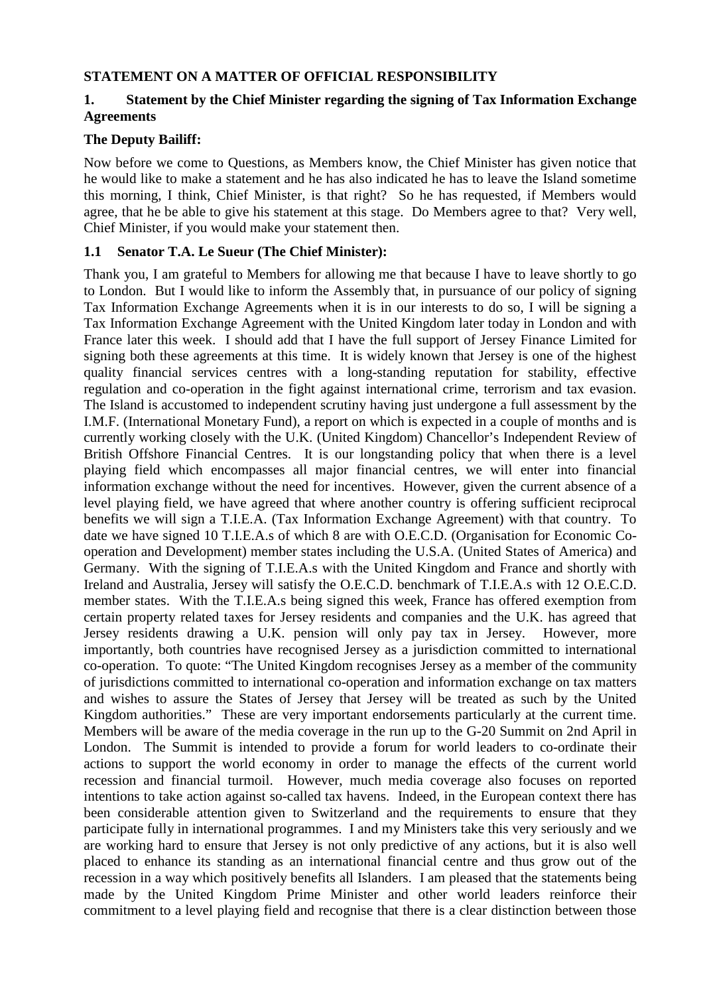### **STATEMENT ON A MATTER OF OFFICIAL RESPONSIBILITY**

### **1. Statement by the Chief Minister regarding the signing of Tax Information Exchange Agreements**

### **The Deputy Bailiff:**

Now before we come to Questions, as Members know, the Chief Minister has given notice that he would like to make a statement and he has also indicated he has to leave the Island sometime this morning, I think, Chief Minister, is that right? So he has requested, if Members would agree, that he be able to give his statement at this stage. Do Members agree to that? Very well, Chief Minister, if you would make your statement then.

### **1.1 Senator T.A. Le Sueur (The Chief Minister):**

Thank you, I am grateful to Members for allowing me that because I have to leave shortly to go to London. But I would like to inform the Assembly that, in pursuance of our policy of signing Tax Information Exchange Agreements when it is in our interests to do so, I will be signing a Tax Information Exchange Agreement with the United Kingdom later today in London and with France later this week. I should add that I have the full support of Jersey Finance Limited for signing both these agreements at this time. It is widely known that Jersey is one of the highest quality financial services centres with a long-standing reputation for stability, effective regulation and co-operation in the fight against international crime, terrorism and tax evasion. The Island is accustomed to independent scrutiny having just undergone a full assessment by the I.M.F. (International Monetary Fund), a report on which is expected in a couple of months and is currently working closely with the U.K. (United Kingdom) Chancellor's Independent Review of British Offshore Financial Centres. It is our longstanding policy that when there is a level playing field which encompasses all major financial centres, we will enter into financial information exchange without the need for incentives. However, given the current absence of a level playing field, we have agreed that where another country is offering sufficient reciprocal benefits we will sign a T.I.E.A. (Tax Information Exchange Agreement) with that country. To date we have signed 10 T.I.E.A.s of which 8 are with O.E.C.D. (Organisation for Economic Cooperation and Development) member states including the U.S.A. (United States of America) and Germany. With the signing of T.I.E.A.s with the United Kingdom and France and shortly with Ireland and Australia, Jersey will satisfy the O.E.C.D. benchmark of T.I.E.A.s with 12 O.E.C.D. member states. With the T.I.E.A.s being signed this week, France has offered exemption from certain property related taxes for Jersey residents and companies and the U.K. has agreed that Jersey residents drawing a U.K. pension will only pay tax in Jersey. However, more importantly, both countries have recognised Jersey as a jurisdiction committed to international co-operation. To quote: "The United Kingdom recognises Jersey as a member of the community of jurisdictions committed to international co-operation and information exchange on tax matters and wishes to assure the States of Jersey that Jersey will be treated as such by the United Kingdom authorities." These are very important endorsements particularly at the current time. Members will be aware of the media coverage in the run up to the G-20 Summit on 2nd April in London. The Summit is intended to provide a forum for world leaders to co-ordinate their actions to support the world economy in order to manage the effects of the current world recession and financial turmoil. However, much media coverage also focuses on reported intentions to take action against so-called tax havens. Indeed, in the European context there has been considerable attention given to Switzerland and the requirements to ensure that they participate fully in international programmes. I and my Ministers take this very seriously and we are working hard to ensure that Jersey is not only predictive of any actions, but it is also well placed to enhance its standing as an international financial centre and thus grow out of the recession in a way which positively benefits all Islanders. I am pleased that the statements being made by the United Kingdom Prime Minister and other world leaders reinforce their commitment to a level playing field and recognise that there is a clear distinction between those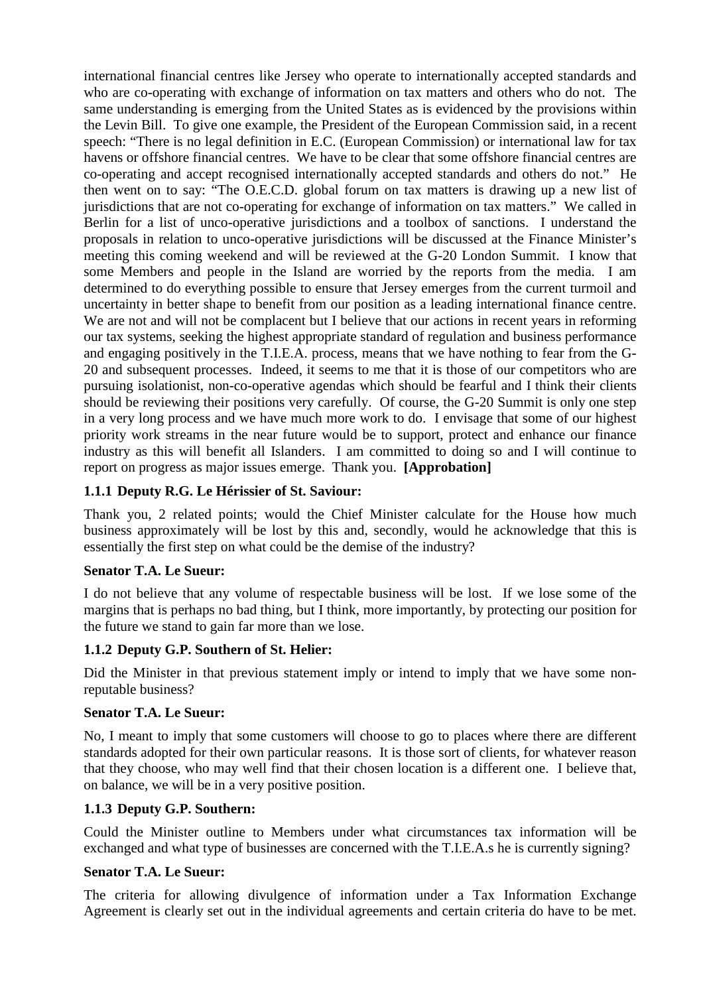international financial centres like Jersey who operate to internationally accepted standards and who are co-operating with exchange of information on tax matters and others who do not. The same understanding is emerging from the United States as is evidenced by the provisions within the Levin Bill. To give one example, the President of the European Commission said, in a recent speech: "There is no legal definition in E.C. (European Commission) or international law for tax havens or offshore financial centres. We have to be clear that some offshore financial centres are co-operating and accept recognised internationally accepted standards and others do not." He then went on to say: "The O.E.C.D. global forum on tax matters is drawing up a new list of jurisdictions that are not co-operating for exchange of information on tax matters." We called in Berlin for a list of unco-operative jurisdictions and a toolbox of sanctions. I understand the proposals in relation to unco-operative jurisdictions will be discussed at the Finance Minister's meeting this coming weekend and will be reviewed at the G-20 London Summit. I know that some Members and people in the Island are worried by the reports from the media. I am determined to do everything possible to ensure that Jersey emerges from the current turmoil and uncertainty in better shape to benefit from our position as a leading international finance centre. We are not and will not be complacent but I believe that our actions in recent years in reforming our tax systems, seeking the highest appropriate standard of regulation and business performance and engaging positively in the T.I.E.A. process, means that we have nothing to fear from the G-20 and subsequent processes. Indeed, it seems to me that it is those of our competitors who are pursuing isolationist, non-co-operative agendas which should be fearful and I think their clients should be reviewing their positions very carefully. Of course, the G-20 Summit is only one step in a very long process and we have much more work to do. I envisage that some of our highest priority work streams in the near future would be to support, protect and enhance our finance industry as this will benefit all Islanders. I am committed to doing so and I will continue to report on progress as major issues emerge. Thank you. **[Approbation]** 

### **1.1.1 Deputy R.G. Le Hérissier of St. Saviour:**

Thank you, 2 related points; would the Chief Minister calculate for the House how much business approximately will be lost by this and, secondly, would he acknowledge that this is essentially the first step on what could be the demise of the industry?

### **Senator T.A. Le Sueur:**

I do not believe that any volume of respectable business will be lost. If we lose some of the margins that is perhaps no bad thing, but I think, more importantly, by protecting our position for the future we stand to gain far more than we lose.

### **1.1.2 Deputy G.P. Southern of St. Helier:**

Did the Minister in that previous statement imply or intend to imply that we have some nonreputable business?

#### **Senator T.A. Le Sueur:**

No, I meant to imply that some customers will choose to go to places where there are different standards adopted for their own particular reasons. It is those sort of clients, for whatever reason that they choose, who may well find that their chosen location is a different one. I believe that, on balance, we will be in a very positive position.

### **1.1.3 Deputy G.P. Southern:**

Could the Minister outline to Members under what circumstances tax information will be exchanged and what type of businesses are concerned with the T.I.E.A.s he is currently signing?

#### **Senator T.A. Le Sueur:**

The criteria for allowing divulgence of information under a Tax Information Exchange Agreement is clearly set out in the individual agreements and certain criteria do have to be met.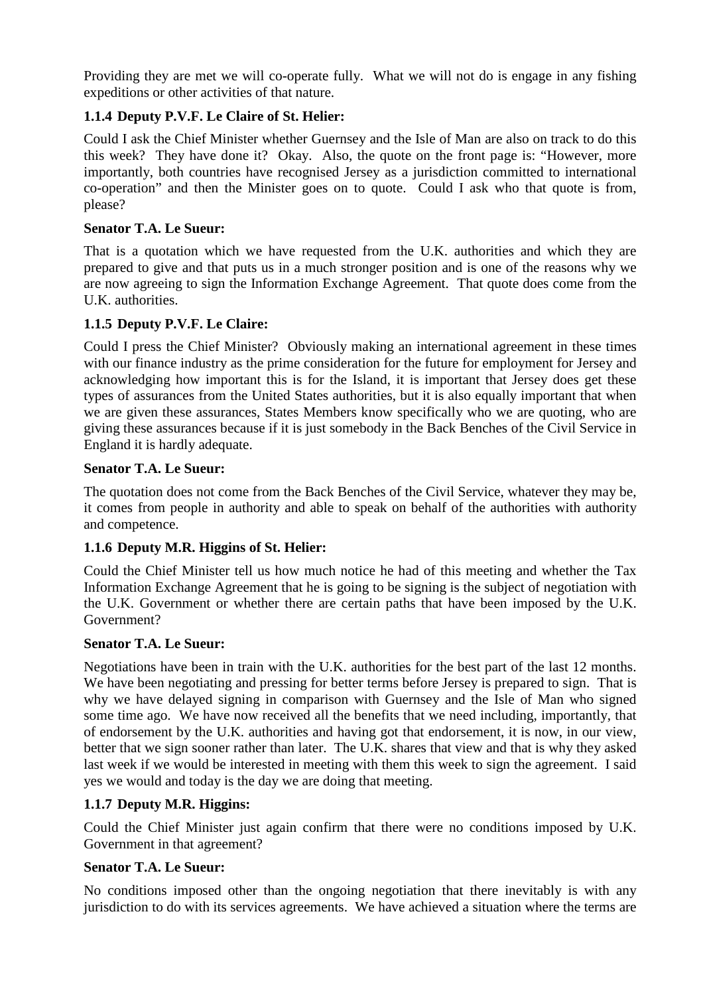Providing they are met we will co-operate fully. What we will not do is engage in any fishing expeditions or other activities of that nature.

# **1.1.4 Deputy P.V.F. Le Claire of St. Helier:**

Could I ask the Chief Minister whether Guernsey and the Isle of Man are also on track to do this this week? They have done it? Okay. Also, the quote on the front page is: "However, more importantly, both countries have recognised Jersey as a jurisdiction committed to international co-operation" and then the Minister goes on to quote. Could I ask who that quote is from, please?

### **Senator T.A. Le Sueur:**

That is a quotation which we have requested from the U.K. authorities and which they are prepared to give and that puts us in a much stronger position and is one of the reasons why we are now agreeing to sign the Information Exchange Agreement. That quote does come from the U.K. authorities.

# **1.1.5 Deputy P.V.F. Le Claire:**

Could I press the Chief Minister? Obviously making an international agreement in these times with our finance industry as the prime consideration for the future for employment for Jersey and acknowledging how important this is for the Island, it is important that Jersey does get these types of assurances from the United States authorities, but it is also equally important that when we are given these assurances, States Members know specifically who we are quoting, who are giving these assurances because if it is just somebody in the Back Benches of the Civil Service in England it is hardly adequate.

### **Senator T.A. Le Sueur:**

The quotation does not come from the Back Benches of the Civil Service, whatever they may be, it comes from people in authority and able to speak on behalf of the authorities with authority and competence.

# **1.1.6 Deputy M.R. Higgins of St. Helier:**

Could the Chief Minister tell us how much notice he had of this meeting and whether the Tax Information Exchange Agreement that he is going to be signing is the subject of negotiation with the U.K. Government or whether there are certain paths that have been imposed by the U.K. Government?

# **Senator T.A. Le Sueur:**

Negotiations have been in train with the U.K. authorities for the best part of the last 12 months. We have been negotiating and pressing for better terms before Jersey is prepared to sign. That is why we have delayed signing in comparison with Guernsey and the Isle of Man who signed some time ago. We have now received all the benefits that we need including, importantly, that of endorsement by the U.K. authorities and having got that endorsement, it is now, in our view, better that we sign sooner rather than later. The U.K. shares that view and that is why they asked last week if we would be interested in meeting with them this week to sign the agreement. I said yes we would and today is the day we are doing that meeting.

# **1.1.7 Deputy M.R. Higgins:**

Could the Chief Minister just again confirm that there were no conditions imposed by U.K. Government in that agreement?

# **Senator T.A. Le Sueur:**

No conditions imposed other than the ongoing negotiation that there inevitably is with any jurisdiction to do with its services agreements. We have achieved a situation where the terms are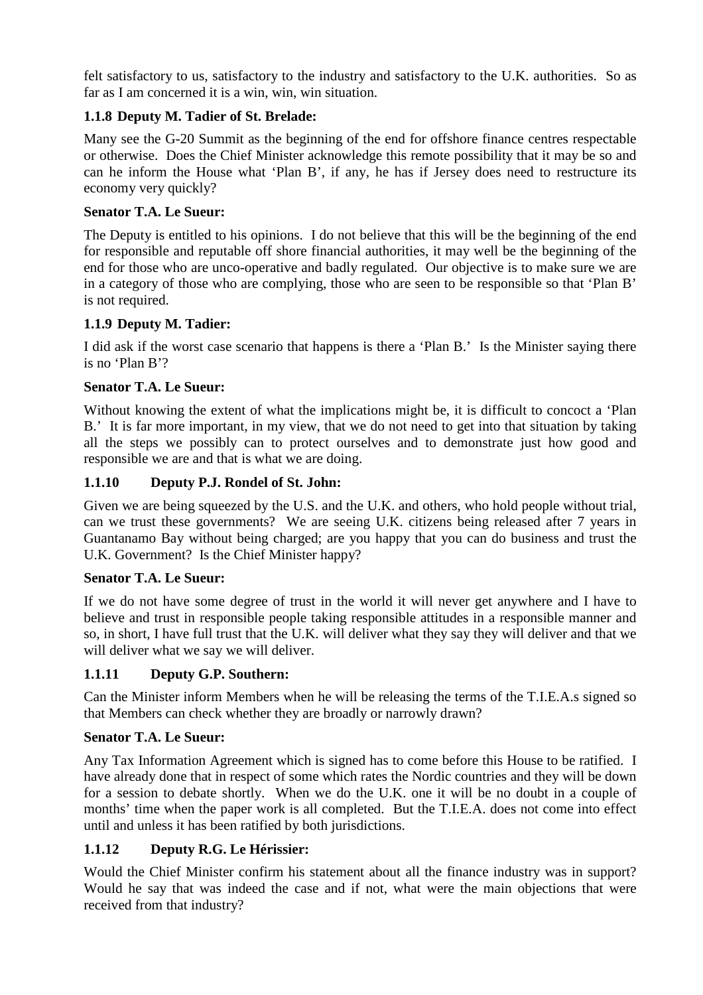felt satisfactory to us, satisfactory to the industry and satisfactory to the U.K. authorities. So as far as I am concerned it is a win, win, win situation.

# **1.1.8 Deputy M. Tadier of St. Brelade:**

Many see the G-20 Summit as the beginning of the end for offshore finance centres respectable or otherwise. Does the Chief Minister acknowledge this remote possibility that it may be so and can he inform the House what 'Plan B', if any, he has if Jersey does need to restructure its economy very quickly?

# **Senator T.A. Le Sueur:**

The Deputy is entitled to his opinions. I do not believe that this will be the beginning of the end for responsible and reputable off shore financial authorities, it may well be the beginning of the end for those who are unco-operative and badly regulated. Our objective is to make sure we are in a category of those who are complying, those who are seen to be responsible so that 'Plan B' is not required.

# **1.1.9 Deputy M. Tadier:**

I did ask if the worst case scenario that happens is there a 'Plan B.' Is the Minister saying there is no 'Plan B'?

# **Senator T.A. Le Sueur:**

Without knowing the extent of what the implications might be, it is difficult to concoct a 'Plan B.' It is far more important, in my view, that we do not need to get into that situation by taking all the steps we possibly can to protect ourselves and to demonstrate just how good and responsible we are and that is what we are doing.

# **1.1.10 Deputy P.J. Rondel of St. John:**

Given we are being squeezed by the U.S. and the U.K. and others, who hold people without trial, can we trust these governments? We are seeing U.K. citizens being released after 7 years in Guantanamo Bay without being charged; are you happy that you can do business and trust the U.K. Government? Is the Chief Minister happy?

# **Senator T.A. Le Sueur:**

If we do not have some degree of trust in the world it will never get anywhere and I have to believe and trust in responsible people taking responsible attitudes in a responsible manner and so, in short, I have full trust that the U.K. will deliver what they say they will deliver and that we will deliver what we say we will deliver.

# **1.1.11 Deputy G.P. Southern:**

Can the Minister inform Members when he will be releasing the terms of the T.I.E.A.s signed so that Members can check whether they are broadly or narrowly drawn?

# **Senator T.A. Le Sueur:**

Any Tax Information Agreement which is signed has to come before this House to be ratified. I have already done that in respect of some which rates the Nordic countries and they will be down for a session to debate shortly. When we do the U.K. one it will be no doubt in a couple of months' time when the paper work is all completed. But the T.I.E.A. does not come into effect until and unless it has been ratified by both jurisdictions.

# **1.1.12 Deputy R.G. Le Hérissier:**

Would the Chief Minister confirm his statement about all the finance industry was in support? Would he say that was indeed the case and if not, what were the main objections that were received from that industry?